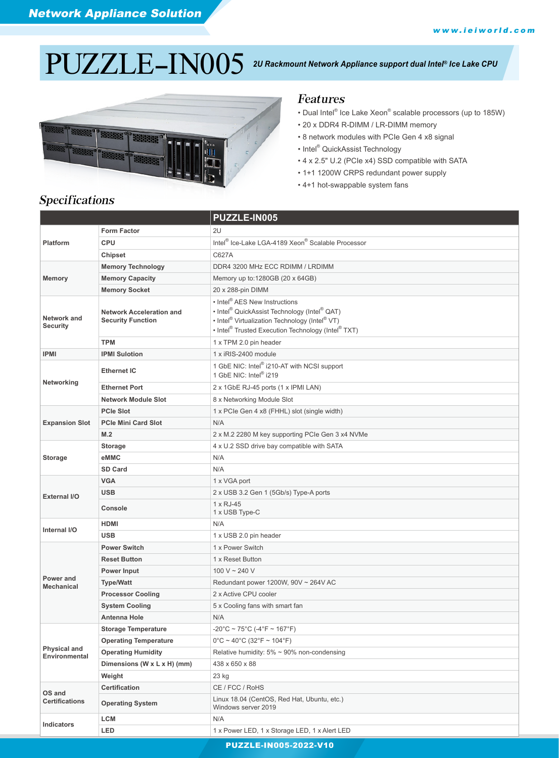# PUZZLE-IN005 *Ice Lake CPU*



### *2U Rackmount Network Appliance support dual Intel®*

### Features

- Dual Intel® Ice Lake Xeon® scalable processors (up to 185W)
- 20 x DDR4 R-DIMM / LR-DIMM memory
- 8 network modules with PCIe Gen 4 x8 signal
- Intel® QuickAssist Technology
- 4 x 2.5" U.2 (PCIe x4) SSD compatible with SATA
- 1+1 1200W CRPS redundant power supply
- 4+1 hot-swappable system fans

# Specifications

|                                 |                                                             | <b>PUZZLE-IN005</b>                                                                                                                                                                                                                                                       |
|---------------------------------|-------------------------------------------------------------|---------------------------------------------------------------------------------------------------------------------------------------------------------------------------------------------------------------------------------------------------------------------------|
| <b>Platform</b>                 | <b>Form Factor</b>                                          | 2U                                                                                                                                                                                                                                                                        |
|                                 | <b>CPU</b>                                                  | Intel <sup>®</sup> Ice-Lake LGA-4189 Xeon <sup>®</sup> Scalable Processor                                                                                                                                                                                                 |
|                                 | <b>Chipset</b>                                              | C627A                                                                                                                                                                                                                                                                     |
| <b>Memory</b>                   | <b>Memory Technology</b>                                    | DDR4 3200 MHz ECC RDIMM / LRDIMM                                                                                                                                                                                                                                          |
|                                 | <b>Memory Capacity</b>                                      | Memory up to:1280GB (20 x 64GB)                                                                                                                                                                                                                                           |
|                                 | <b>Memory Socket</b>                                        | 20 x 288-pin DIMM                                                                                                                                                                                                                                                         |
| Network and<br><b>Security</b>  | <b>Network Acceleration and</b><br><b>Security Function</b> | • Intel <sup>®</sup> AES New Instructions<br>• Intel <sup>®</sup> QuickAssist Technology (Intel <sup>®</sup> QAT)<br>• Intel <sup>®</sup> Virtualization Technology (Intel <sup>®</sup> VT)<br>• Intel <sup>®</sup> Trusted Execution Technology (Intel <sup>®</sup> TXT) |
|                                 | <b>TPM</b>                                                  | 1 x TPM 2.0 pin header                                                                                                                                                                                                                                                    |
| IPMI                            | <b>IPMI Sulotion</b>                                        | 1 x iRIS-2400 module                                                                                                                                                                                                                                                      |
| Networking                      | <b>Ethernet IC</b>                                          | 1 GbE NIC: Intel® i210-AT with NCSI support<br>1 GbE NIC: Intel® i219                                                                                                                                                                                                     |
|                                 | <b>Ethernet Port</b>                                        | 2 x 1GbE RJ-45 ports (1 x IPMI LAN)                                                                                                                                                                                                                                       |
|                                 | <b>Network Module Slot</b>                                  | 8 x Networking Module Slot                                                                                                                                                                                                                                                |
|                                 | <b>PCIe Slot</b>                                            | 1 x PCIe Gen 4 x8 (FHHL) slot (single width)                                                                                                                                                                                                                              |
| <b>Expansion Slot</b>           | <b>PCIe Mini Card Slot</b>                                  | N/A                                                                                                                                                                                                                                                                       |
|                                 | M.2                                                         | 2 x M.2 2280 M key supporting PCIe Gen 3 x4 NVMe                                                                                                                                                                                                                          |
|                                 | <b>Storage</b>                                              | 4 x U.2 SSD drive bay compatible with SATA                                                                                                                                                                                                                                |
| <b>Storage</b>                  | eMMC                                                        | N/A                                                                                                                                                                                                                                                                       |
|                                 | <b>SD Card</b>                                              | N/A                                                                                                                                                                                                                                                                       |
|                                 | <b>VGA</b>                                                  | 1 x VGA port                                                                                                                                                                                                                                                              |
| External I/O                    | <b>USB</b>                                                  | 2 x USB 3.2 Gen 1 (5Gb/s) Type-A ports                                                                                                                                                                                                                                    |
|                                 | Console                                                     | 1 x RJ-45<br>1 x USB Type-C                                                                                                                                                                                                                                               |
| Internal I/O                    | <b>HDMI</b>                                                 | N/A                                                                                                                                                                                                                                                                       |
|                                 | <b>USB</b>                                                  | 1 x USB 2.0 pin header                                                                                                                                                                                                                                                    |
|                                 | <b>Power Switch</b>                                         | 1 x Power Switch                                                                                                                                                                                                                                                          |
|                                 | <b>Reset Button</b>                                         | 1 x Reset Button                                                                                                                                                                                                                                                          |
|                                 | Power Input                                                 | 100 V ~ 240 V                                                                                                                                                                                                                                                             |
| Power and<br>Mechanical         | <b>Type/Watt</b>                                            | Redundant power 1200W, 90V ~ 264V AC                                                                                                                                                                                                                                      |
|                                 | <b>Processor Cooling</b>                                    | 2 x Active CPU cooler                                                                                                                                                                                                                                                     |
|                                 | <b>System Cooling</b>                                       | 5 x Cooling fans with smart fan                                                                                                                                                                                                                                           |
|                                 | <b>Antenna Hole</b>                                         | N/A                                                                                                                                                                                                                                                                       |
| Physical and<br>Environmental   | <b>Storage Temperature</b>                                  | $-20^{\circ}$ C ~ 75 $^{\circ}$ C (-4 $^{\circ}$ F ~ 167 $^{\circ}$ F)                                                                                                                                                                                                    |
|                                 | <b>Operating Temperature</b>                                | $0^{\circ}$ C ~ 40°C (32°F ~ 104°F)                                                                                                                                                                                                                                       |
|                                 | <b>Operating Humidity</b>                                   | Relative humidity: $5\% \sim 90\%$ non-condensing                                                                                                                                                                                                                         |
|                                 | Dimensions (W x L x H) (mm)                                 | 438 x 650 x 88                                                                                                                                                                                                                                                            |
|                                 | Weight                                                      | 23 kg                                                                                                                                                                                                                                                                     |
| OS and<br><b>Certifications</b> | Certification                                               | CE / FCC / RoHS                                                                                                                                                                                                                                                           |
|                                 | <b>Operating System</b>                                     | Linux 18.04 (CentOS, Red Hat, Ubuntu, etc.)<br>Windows server 2019                                                                                                                                                                                                        |
| Indicators                      | LCM                                                         | N/A                                                                                                                                                                                                                                                                       |
|                                 | <b>LED</b>                                                  | 1 x Power LED, 1 x Storage LED, 1 x Alert LED                                                                                                                                                                                                                             |

PUZZLE-IN005-2022-V10